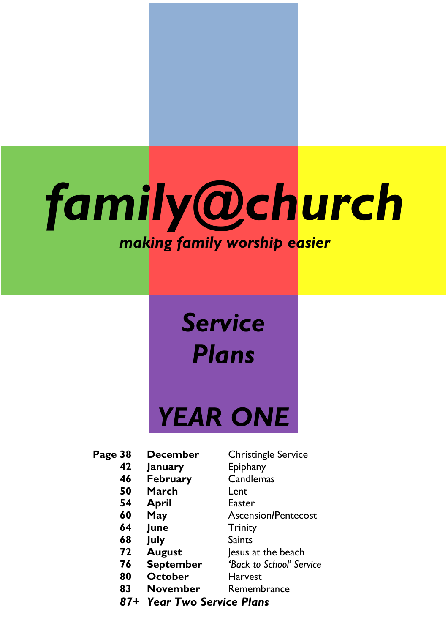# *family@church making family worship easier*

## *Service Plans*

## *YEAR ONE*

### **Page 38 December** Christingle Service

- **January** Epiphany
- **February** Candlemas
- **March** Lent
- **April** Easter
- 
- **June** Trinity
- **July** Saints
- 
- 
- **October** Harvest
- 
- 
- 
- 
- 
- 
- **May** Ascension**/**Pentecost
	-
	-
- **August** Jesus at the beach
- **September** *'Back to School' Service*
	-
- **November** Remembrance
- *87+ Year Two Service Plans*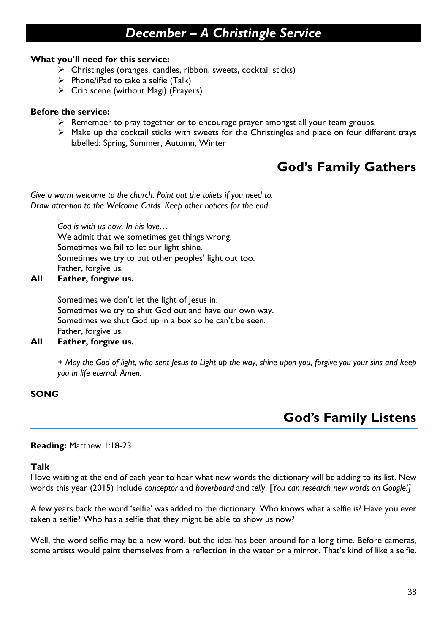### *December – A Christingle Service*

### **What you'll need for this service:**

- ➢ Christingles (oranges, candles, ribbon, sweets, cocktail sticks)
- $\triangleright$  Phone/iPad to take a selfie (Talk)
- $\triangleright$  Crib scene (without Magi) (Prayers)

### **Before the service:**

- $\triangleright$  Remember to pray together or to encourage prayer amongst all your team groups.
- ➢ Make up the cocktail sticks with sweets for the Christingles and place on four different trays labelled: Spring, Summer, Autumn, Winter

### **God's Family Gathers**

*Give a warm welcome to the church. Point out the toilets if you need to. Draw attention to the Welcome Cards. Keep other notices for the end.*

> *God is with us now. In his love…* We admit that we sometimes get things wrong. Sometimes we fail to let our light shine. Sometimes we try to put other peoples' light out too. Father, forgive us.

### **All Father, forgive us.**

Sometimes we don't let the light of Jesus in. Sometimes we try to shut God out and have our own way. Sometimes we shut God up in a box so he can't be seen. Father, forgive us.

### **All Father, forgive us.**

*+ May the God of light, who sent Jesus to Light up the way, shine upon you, forgive you your sins and keep you in life eternal. Amen.*

### **SONG**

### **God's Family Listens**

### **Reading:** Matthew 1:18-23

### **Talk**

I love waiting at the end of each year to hear what new words the dictionary will be adding to its list. New words this year (2015) include *conceptor* and *hoverboard* and *telly*. [*You can research new words on Google!]*

A few years back the word 'selfie' was added to the dictionary. Who knows what a selfie is? Have you ever taken a selfie? Who has a selfie that they might be able to show us now?

Well, the word selfie may be a new word, but the idea has been around for a long time. Before cameras, some artists would paint themselves from a reflection in the water or a mirror. That's kind of like a selfie.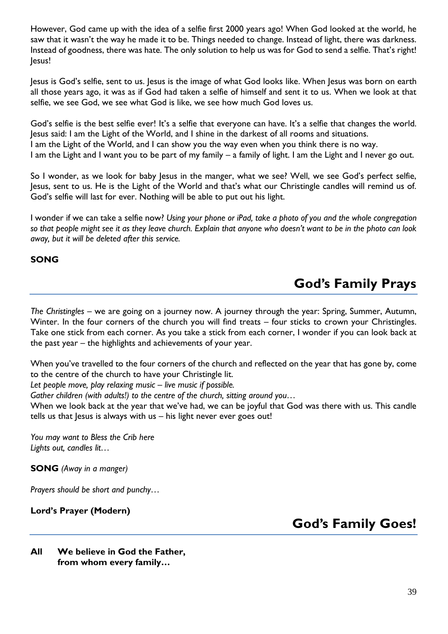However, God came up with the idea of a selfie first 2000 years ago! When God looked at the world, he saw that it wasn't the way he made it to be. Things needed to change. Instead of light, there was darkness. Instead of goodness, there was hate. The only solution to help us was for God to send a selfie. That's right! Jesus!

Jesus is God's selfie, sent to us. Jesus is the image of what God looks like. When Jesus was born on earth all those years ago, it was as if God had taken a selfie of himself and sent it to us. When we look at that selfie, we see God, we see what God is like, we see how much God loves us.

God's selfie is the best selfie ever! It's a selfie that everyone can have. It's a selfie that changes the world. Jesus said: I am the Light of the World, and I shine in the darkest of all rooms and situations. I am the Light of the World, and I can show you the way even when you think there is no way. I am the Light and I want you to be part of my family – a family of light. I am the Light and I never go out.

So I wonder, as we look for baby Jesus in the manger, what we see? Well, we see God's perfect selfie, Jesus, sent to us. He is the Light of the World and that's what our Christingle candles will remind us of. God's selfie will last for ever. Nothing will be able to put out his light.

I wonder if we can take a selfie now? *Using your phone or iPad, take a photo of you and the whole congregation so that people might see it as they leave church. Explain that anyone who doesn't want to be in the photo can look away, but it will be deleted after this service.*

### **SONG**

### **God's Family Prays**

*The Christingles* – we are going on a journey now. A journey through the year: Spring, Summer, Autumn, Winter. In the four corners of the church you will find treats – four sticks to crown your Christingles. Take one stick from each corner. As you take a stick from each corner, I wonder if you can look back at the past year – the highlights and achievements of your year.

When you've travelled to the four corners of the church and reflected on the year that has gone by, come to the centre of the church to have your Christingle lit.

*Let people move, play relaxing music – live music if possible.*

*Gather children (with adults!) to the centre of the church, sitting around you…*

When we look back at the year that we've had, we can be joyful that God was there with us. This candle tells us that Jesus is always with us – his light never ever goes out!

*You may want to Bless the Crib here Lights out, candles lit…*

**SONG** *(Away in a manger)*

*Prayers should be short and punchy…*

### **Lord's Prayer (Modern)**

### **God's Family Goes!**

**All We believe in God the Father, from whom every family…**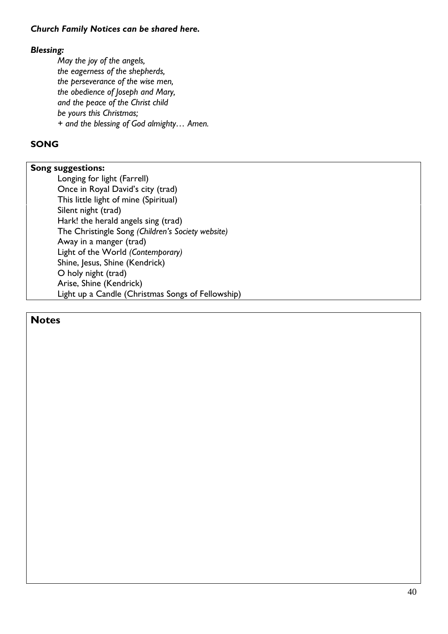### *Church Family Notices can be shared here.*

### *Blessing:*

*May the joy of the angels, the eagerness of the shepherds, the perseverance of the wise men, the obedience of Joseph and Mary, and the peace of the Christ child be yours this Christmas; + and the blessing of God almighty… Amen.*

### **SONG**

### **Song suggestions:**

Longing for light (Farrell) Once in Royal David's city (trad) This little light of mine (Spiritual) Silent night (trad) Hark! the herald angels sing (trad) The Christingle Song *(Children's Society website)* Away in a manger (trad) Light of the World *(Contemporary)* Shine, Jesus, Shine (Kendrick) O holy night (trad) Arise, Shine (Kendrick) Light up a Candle (Christmas Songs of Fellowship)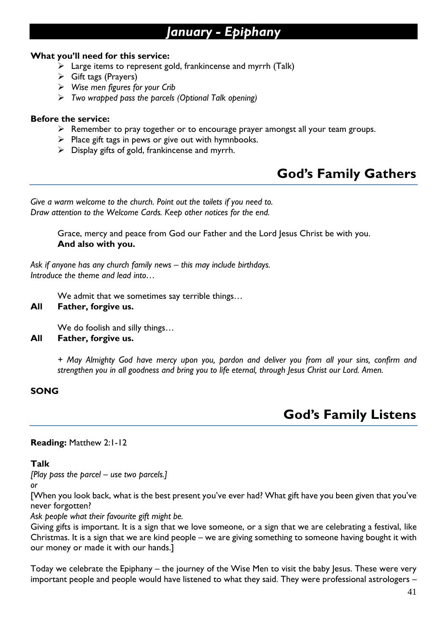### *January - Epiphany*

### **What you'll need for this service:**

- $\triangleright$  Large items to represent gold, frankincense and myrrh (Talk)
- ➢ Gift tags (Prayers)
- ➢ *Wise men figures for your Crib*
- ➢ *Two wrapped pass the parcels (Optional Talk opening)*

### **Before the service:**

- ➢ Remember to pray together or to encourage prayer amongst all your team groups.
- $\triangleright$  Place gift tags in pews or give out with hymnbooks.
- $\triangleright$  Display gifts of gold, frankincense and myrrh.

### **God's Family Gathers**

*Give a warm welcome to the church. Point out the toilets if you need to. Draw attention to the Welcome Cards. Keep other notices for the end.*

> Grace, mercy and peace from God our Father and the Lord Jesus Christ be with you. **And also with you.**

*Ask if anyone has any church family news – this may include birthdays. Introduce the theme and lead into…*

We admit that we sometimes say terrible things…

### **All Father, forgive us.**

We do foolish and silly things…

### **All Father, forgive us.**

*+ May Almighty God have mercy upon you, pardon and deliver you from all your sins, confirm and strengthen you in all goodness and bring you to life eternal, through Jesus Christ our Lord. Amen.*

### **SONG**

### **God's Family Listens**

### **Reading:** Matthew 2:1-12

### **Talk**

*[Play pass the parcel – use two parcels.]*

*or*

[When you look back, what is the best present you've ever had? What gift have you been given that you've never forgotten?

*Ask people what their favourite gift might be.*

Giving gifts is important. It is a sign that we love someone, or a sign that we are celebrating a festival, like Christmas. It is a sign that we are kind people – we are giving something to someone having bought it with our money or made it with our hands.]

Today we celebrate the Epiphany – the journey of the Wise Men to visit the baby Jesus. These were very important people and people would have listened to what they said. They were professional astrologers –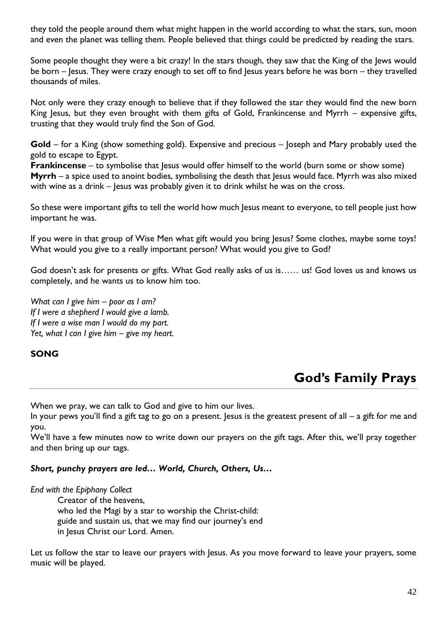they told the people around them what might happen in the world according to what the stars, sun, moon and even the planet was telling them. People believed that things could be predicted by reading the stars.

Some people thought they were a bit crazy! In the stars though, they saw that the King of the Jews would be born – Jesus. They were crazy enough to set off to find Jesus years before he was born – they travelled thousands of miles.

Not only were they crazy enough to believe that if they followed the star they would find the new born King Jesus, but they even brought with them gifts of Gold, Frankincense and Myrrh – expensive gifts, trusting that they would truly find the Son of God.

**Gold** – for a King (show something gold). Expensive and precious – Joseph and Mary probably used the gold to escape to Egypt.

**Frankincense** – to symbolise that Jesus would offer himself to the world (burn some or show some) **Myrrh** – a spice used to anoint bodies, symbolising the death that Jesus would face. Myrrh was also mixed with wine as a drink – Jesus was probably given it to drink whilst he was on the cross.

So these were important gifts to tell the world how much Jesus meant to everyone, to tell people just how important he was.

If you were in that group of Wise Men what gift would you bring Jesus? Some clothes, maybe some toys! What would you give to a really important person? What would you give to God?

God doesn't ask for presents or gifts. What God really asks of us is…… us! God loves us and knows us completely, and he wants us to know him too.

*What can I give him – poor as I am? If I were a shepherd I would give a lamb. If I were a wise man I would do my part. Yet, what I can I give him – give my heart.* 

### **SONG**

### **God's Family Prays**

When we pray, we can talk to God and give to him our lives.

In your pews you'll find a gift tag to go on a present. Jesus is the greatest present of all – a gift for me and you.

We'll have a few minutes now to write down our prayers on the gift tags. After this, we'll pray together and then bring up our tags.

### *Short, punchy prayers are led… World, Church, Others, Us…*

*End with the Epiphany Collect*

Creator of the heavens, who led the Magi by a star to worship the Christ-child: guide and sustain us, that we may find our journey's end in Jesus Christ our Lord. Amen.

Let us follow the star to leave our prayers with Jesus. As you move forward to leave your prayers, some music will be played.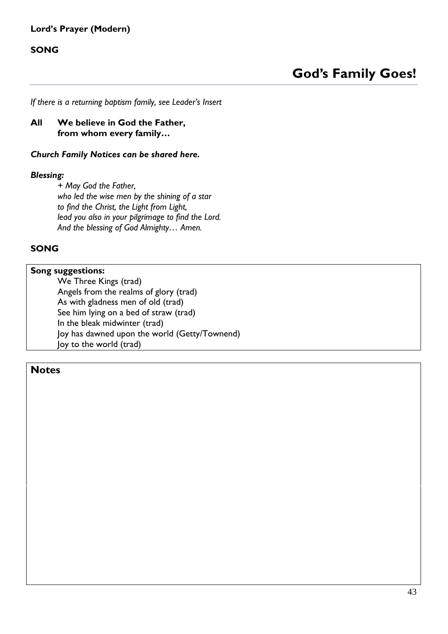### **Lord's Prayer (Modern)**

### **SONG**

*If there is a returning baptism family, see Leader's Insert*

### **All We believe in God the Father, from whom every family…**

#### *Church Family Notices can be shared here.*

### *Blessing:*

*+ May God the Father, who led the wise men by the shining of a star to find the Christ, the Light from Light, lead you also in your pilgrimage to find the Lord. And the blessing of God Almighty… Amen.*

### **SONG**

### **Song suggestions:**

We Three Kings (trad) Angels from the realms of glory (trad) As with gladness men of old (trad) See him lying on a bed of straw (trad) In the bleak midwinter (trad) Joy has dawned upon the world (Getty/Townend) Joy to the world (trad)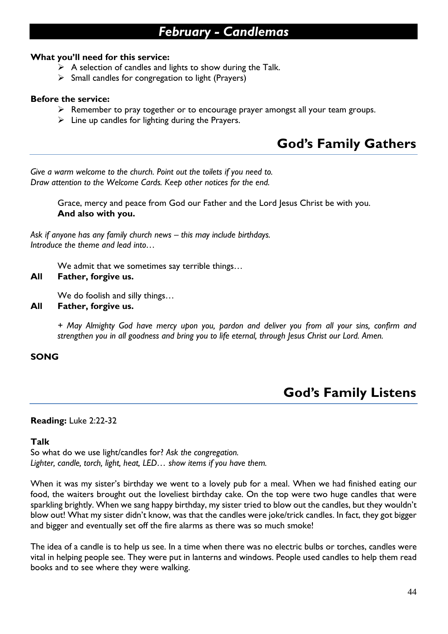### *February - Candlemas*

### **What you'll need for this service:**

- $\triangleright$  A selection of candles and lights to show during the Talk.
- ➢ Small candles for congregation to light (Prayers)

### **Before the service:**

- ➢ Remember to pray together or to encourage prayer amongst all your team groups.
- $\triangleright$  Line up candles for lighting during the Prayers.

### **God's Family Gathers**

*Give a warm welcome to the church. Point out the toilets if you need to. Draw attention to the Welcome Cards. Keep other notices for the end.*

> Grace, mercy and peace from God our Father and the Lord Jesus Christ be with you. **And also with you.**

Ask if anyone has any family church news – this may include birthdays. *Introduce the theme and lead into…*

We admit that we sometimes say terrible things…

### **All Father, forgive us.**

We do foolish and silly things…

**All Father, forgive us.**

*+ May Almighty God have mercy upon you, pardon and deliver you from all your sins, confirm and strengthen you in all goodness and bring you to life eternal, through Jesus Christ our Lord. Amen.*

### **SONG**

### **God's Family Listens**

### **Reading:** Luke 2:22-32

### **Talk**

So what do we use light/candles for? *Ask the congregation. Lighter, candle, torch, light, heat, LED… show items if you have them.*

When it was my sister's birthday we went to a lovely pub for a meal. When we had finished eating our food, the waiters brought out the loveliest birthday cake. On the top were two huge candles that were sparkling brightly. When we sang happy birthday, my sister tried to blow out the candles, but they wouldn't blow out! What my sister didn't know, was that the candles were joke/trick candles. In fact, they got bigger and bigger and eventually set off the fire alarms as there was so much smoke!

The idea of a candle is to help us see. In a time when there was no electric bulbs or torches, candles were vital in helping people see. They were put in lanterns and windows. People used candles to help them read books and to see where they were walking.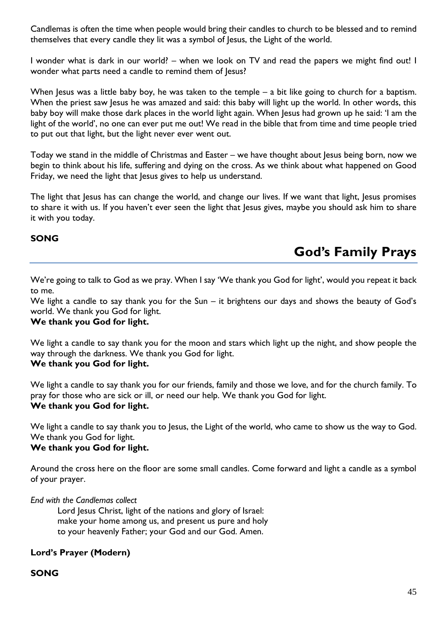Candlemas is often the time when people would bring their candles to church to be blessed and to remind themselves that every candle they lit was a symbol of Jesus, the Light of the world.

I wonder what is dark in our world? – when we look on TV and read the papers we might find out! I wonder what parts need a candle to remind them of Jesus?

When Jesus was a little baby boy, he was taken to the temple – a bit like going to church for a baptism. When the priest saw Jesus he was amazed and said: this baby will light up the world. In other words, this baby boy will make those dark places in the world light again. When Jesus had grown up he said: 'I am the light of the world', no one can ever put me out! We read in the bible that from time and time people tried to put out that light, but the light never ever went out.

Today we stand in the middle of Christmas and Easter – we have thought about Jesus being born, now we begin to think about his life, suffering and dying on the cross. As we think about what happened on Good Friday, we need the light that Jesus gives to help us understand.

The light that Jesus has can change the world, and change our lives. If we want that light, Jesus promises to share it with us. If you haven't ever seen the light that Jesus gives, maybe you should ask him to share it with you today.

### **SONG**

### **God's Family Prays**

We're going to talk to God as we pray. When I say 'We thank you God for light', would you repeat it back to me.

We light a candle to say thank you for the Sun – it brightens our days and shows the beauty of God's world. We thank you God for light.

### **We thank you God for light.**

We light a candle to say thank you for the moon and stars which light up the night, and show people the way through the darkness. We thank you God for light.

### **We thank you God for light.**

We light a candle to say thank you for our friends, family and those we love, and for the church family. To pray for those who are sick or ill, or need our help. We thank you God for light. **We thank you God for light.**

We light a candle to say thank you to Jesus, the Light of the world, who came to show us the way to God. We thank you God for light.

### **We thank you God for light.**

Around the cross here on the floor are some small candles. Come forward and light a candle as a symbol of your prayer.

*End with the Candlemas collect*

Lord Jesus Christ, light of the nations and glory of Israel: make your home among us, and present us pure and holy to your heavenly Father; your God and our God. Amen.

### **Lord's Prayer (Modern)**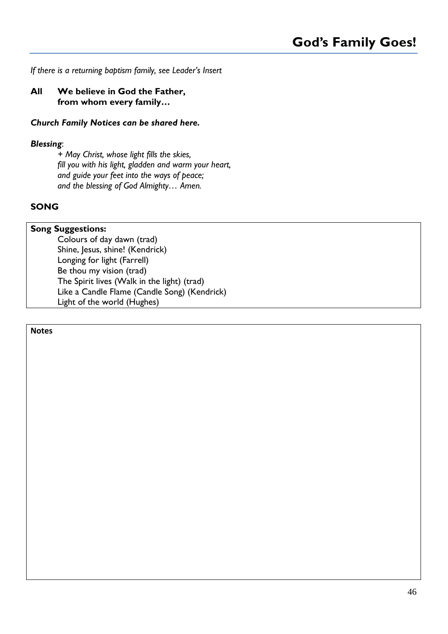### *If there is a returning baptism family, see Leader's Insert*

### **All We believe in God the Father, from whom every family…**

### *Church Family Notices can be shared here.*

### *Blessing*:

*+ May Christ, whose light fills the skies, fill you with his light, gladden and warm your heart, and guide your feet into the ways of peace; and the blessing of God Almighty… Amen.*

### **SONG**

### **Song Suggestions:**

Colours of day dawn (trad) Shine, Jesus, shine! (Kendrick) Longing for light (Farrell) Be thou my vision (trad) The Spirit lives (Walk in the light) (trad) Like a Candle Flame (Candle Song) (Kendrick) Light of the world (Hughes)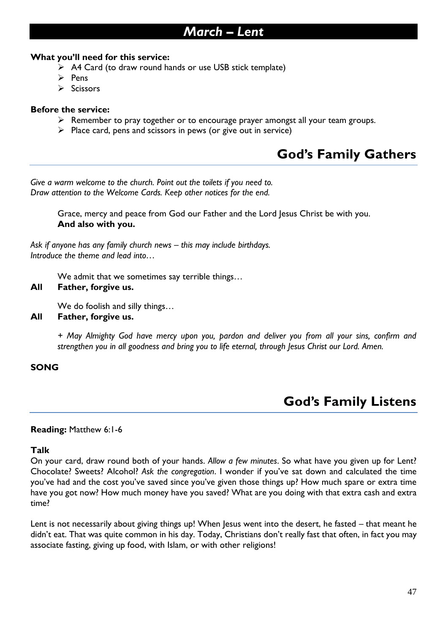### *March – Lent*

### **What you'll need for this service:**

- ➢ A4 Card (to draw round hands or use USB stick template)
- ➢ Pens
- ➢ Scissors

### **Before the service:**

- ➢ Remember to pray together or to encourage prayer amongst all your team groups.
- $\triangleright$  Place card, pens and scissors in pews (or give out in service)

### **God's Family Gathers**

*Give a warm welcome to the church. Point out the toilets if you need to. Draw attention to the Welcome Cards. Keep other notices for the end.*

> Grace, mercy and peace from God our Father and the Lord Jesus Christ be with you. **And also with you.**

*Ask if anyone has any family church news – this may include birthdays. Introduce the theme and lead into…*

We admit that we sometimes say terrible things…

### **All Father, forgive us.**

We do foolish and silly things…

**All Father, forgive us.**

*+ May Almighty God have mercy upon you, pardon and deliver you from all your sins, confirm and strengthen you in all goodness and bring you to life eternal, through Jesus Christ our Lord. Amen.*

### **SONG**

### **God's Family Listens**

### **Reading:** Matthew 6:1-6

### **Talk**

On your card, draw round both of your hands. *Allow a few minutes*. So what have you given up for Lent? Chocolate? Sweets? Alcohol? *Ask the congregation*. I wonder if you've sat down and calculated the time you've had and the cost you've saved since you've given those things up? How much spare or extra time have you got now? How much money have you saved? What are you doing with that extra cash and extra time?

Lent is not necessarily about giving things up! When Jesus went into the desert, he fasted – that meant he didn't eat. That was quite common in his day. Today, Christians don't really fast that often, in fact you may associate fasting, giving up food, with Islam, or with other religions!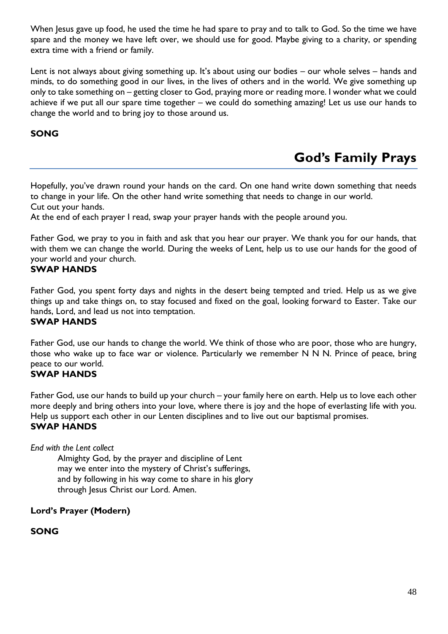When Jesus gave up food, he used the time he had spare to pray and to talk to God. So the time we have spare and the money we have left over, we should use for good. Maybe giving to a charity, or spending extra time with a friend or family.

Lent is not always about giving something up. It's about using our bodies – our whole selves – hands and minds, to do something good in our lives, in the lives of others and in the world. We give something up only to take something on – getting closer to God, praying more or reading more. I wonder what we could achieve if we put all our spare time together – we could do something amazing! Let us use our hands to change the world and to bring joy to those around us.

### **SONG**

### **God's Family Prays**

Hopefully, you've drawn round your hands on the card. On one hand write down something that needs to change in your life. On the other hand write something that needs to change in our world. Cut out your hands.

At the end of each prayer I read, swap your prayer hands with the people around you.

Father God, we pray to you in faith and ask that you hear our prayer. We thank you for our hands, that with them we can change the world. During the weeks of Lent, help us to use our hands for the good of your world and your church.

### **SWAP HANDS**

Father God, you spent forty days and nights in the desert being tempted and tried. Help us as we give things up and take things on, to stay focused and fixed on the goal, looking forward to Easter. Take our hands, Lord, and lead us not into temptation.

### **SWAP HANDS**

Father God, use our hands to change the world. We think of those who are poor, those who are hungry, those who wake up to face war or violence. Particularly we remember N N N. Prince of peace, bring peace to our world.

### **SWAP HANDS**

Father God, use our hands to build up your church – your family here on earth. Help us to love each other more deeply and bring others into your love, where there is joy and the hope of everlasting life with you. Help us support each other in our Lenten disciplines and to live out our baptismal promises. **SWAP HANDS**

*End with the Lent collect*

Almighty God, by the prayer and discipline of Lent may we enter into the mystery of Christ's sufferings, and by following in his way come to share in his glory through Jesus Christ our Lord. Amen.

**Lord's Prayer (Modern)**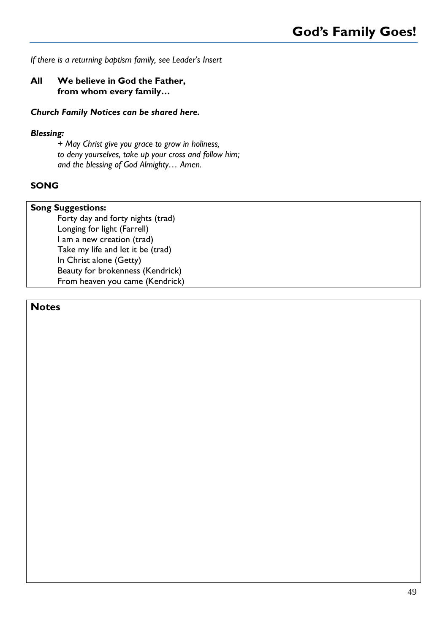### *If there is a returning baptism family, see Leader's Insert*

### **All We believe in God the Father, from whom every family…**

### *Church Family Notices can be shared here.*

### *Blessing:*

*+ May Christ give you grace to grow in holiness, to deny yourselves, take up your cross and follow him; and the blessing of God Almighty… Amen.*

### **SONG**

### **Song Suggestions:**

Forty day and forty nights (trad) Longing for light (Farrell) I am a new creation (trad) Take my life and let it be (trad) In Christ alone (Getty) Beauty for brokenness (Kendrick) From heaven you came (Kendrick)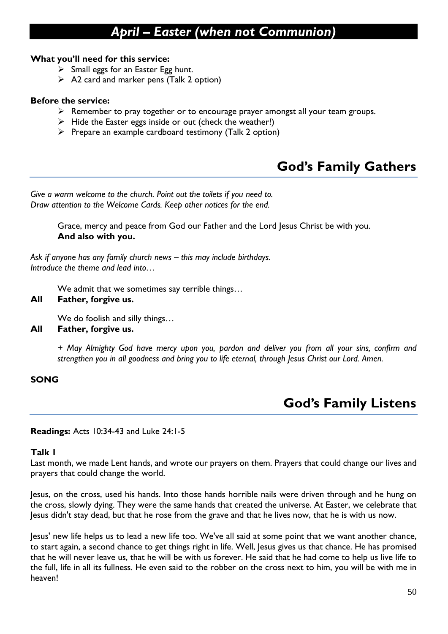### *April – Easter (when not Communion)*

### **What you'll need for this service:**

- $\triangleright$  Small eggs for an Easter Egg hunt.
- $\triangleright$  A2 card and marker pens (Talk 2 option)

### **Before the service:**

- ➢ Remember to pray together or to encourage prayer amongst all your team groups.
- $\triangleright$  Hide the Easter eggs inside or out (check the weather!)
- ➢ Prepare an example cardboard testimony (Talk 2 option)

### **God's Family Gathers**

*Give a warm welcome to the church. Point out the toilets if you need to. Draw attention to the Welcome Cards. Keep other notices for the end.*

> Grace, mercy and peace from God our Father and the Lord Jesus Christ be with you. **And also with you.**

*Ask if anyone has any family church news – this may include birthdays. Introduce the theme and lead into…*

We admit that we sometimes say terrible things…

### **All Father, forgive us.**

We do foolish and silly things…

### **All Father, forgive us.**

*+ May Almighty God have mercy upon you, pardon and deliver you from all your sins, confirm and strengthen you in all goodness and bring you to life eternal, through Jesus Christ our Lord. Amen.*

### **SONG**

### **God's Family Listens**

**Readings:** Acts 10:34-43 and Luke 24:1-5

### **Talk 1**

Last month, we made Lent hands, and wrote our prayers on them. Prayers that could change our lives and prayers that could change the world.

Jesus, on the cross, used his hands. Into those hands horrible nails were driven through and he hung on the cross, slowly dying. They were the same hands that created the universe. At Easter, we celebrate that Jesus didn't stay dead, but that he rose from the grave and that he lives now, that he is with us now.

Jesus' new life helps us to lead a new life too. We've all said at some point that we want another chance, to start again, a second chance to get things right in life. Well, Jesus gives us that chance. He has promised that he will never leave us, that he will be with us forever. He said that he had come to help us live life to the full, life in all its fullness. He even said to the robber on the cross next to him, you will be with me in heaven!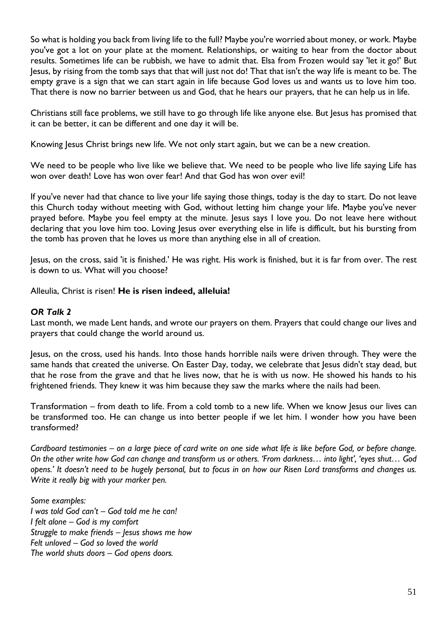So what is holding you back from living life to the full? Maybe you're worried about money, or work. Maybe you've got a lot on your plate at the moment. Relationships, or waiting to hear from the doctor about results. Sometimes life can be rubbish, we have to admit that. Elsa from Frozen would say 'let it go!' But Jesus, by rising from the tomb says that that will just not do! That that isn't the way life is meant to be. The empty grave is a sign that we can start again in life because God loves us and wants us to love him too. That there is now no barrier between us and God, that he hears our prayers, that he can help us in life.

Christians still face problems, we still have to go through life like anyone else. But Jesus has promised that it can be better, it can be different and one day it will be.

Knowing Jesus Christ brings new life. We not only start again, but we can be a new creation.

We need to be people who live like we believe that. We need to be people who live life saying Life has won over death! Love has won over fear! And that God has won over evil!

If you've never had that chance to live your life saying those things, today is the day to start. Do not leave this Church today without meeting with God, without letting him change your life. Maybe you've never prayed before. Maybe you feel empty at the minute. Jesus says I love you. Do not leave here without declaring that you love him too. Loving Jesus over everything else in life is difficult, but his bursting from the tomb has proven that he loves us more than anything else in all of creation.

Jesus, on the cross, said 'it is finished.' He was right. His work is finished, but it is far from over. The rest is down to us. What will you choose?

Alleulia, Christ is risen! **He is risen indeed, alleluia!**

### *OR Talk 2*

Last month, we made Lent hands, and wrote our prayers on them. Prayers that could change our lives and prayers that could change the world around us.

Jesus, on the cross, used his hands. Into those hands horrible nails were driven through. They were the same hands that created the universe. On Easter Day, today, we celebrate that Jesus didn't stay dead, but that he rose from the grave and that he lives now, that he is with us now. He showed his hands to his frightened friends. They knew it was him because they saw the marks where the nails had been.

Transformation – from death to life. From a cold tomb to a new life. When we know Jesus our lives can be transformed too. He can change us into better people if we let him. I wonder how you have been transformed?

*Cardboard testimonies – on a large piece of card write on one side what life is like before God, or before change. On the other write how God can change and transform us or others. 'From darkness… into light', 'eyes shut… God opens.' It doesn't need to be hugely personal, but to focus in on how our Risen Lord transforms and changes us. Write it really big with your marker pen.*

*Some examples: I was told God can't – God told me he can! I felt alone – God is my comfort Struggle to make friends – Jesus shows me how Felt unloved – God so loved the world The world shuts doors – God opens doors.*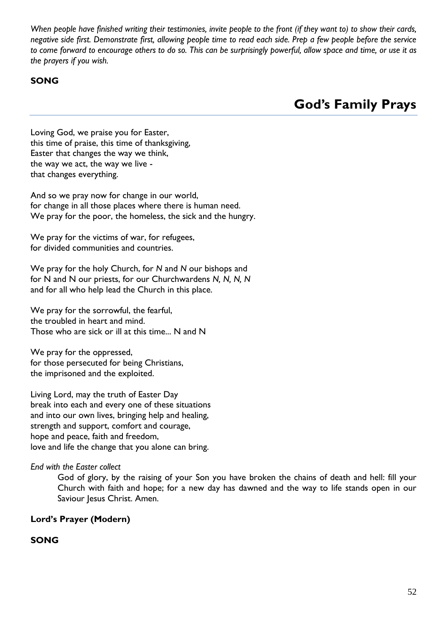*When people have finished writing their testimonies, invite people to the front (if they want to) to show their cards, negative side first. Demonstrate first, allowing people time to read each side. Prep a few people before the service to come forward to encourage others to do so. This can be surprisingly powerful, allow space and time, or use it as the prayers if you wish.*

### **SONG**

**God's Family Prays**

Loving God, we praise you for Easter, this time of praise, this time of thanksgiving, Easter that changes the way we think, the way we act, the way we live that changes everything.

And so we pray now for change in our world, for change in all those places where there is human need. We pray for the poor, the homeless, the sick and the hungry.

We pray for the victims of war, for refugees, for divided communities and countries.

We pray for the holy Church, for *N* and *N* our bishops and for N and N our priests, for our Churchwardens *N, N, N, N* and for all who help lead the Church in this place.

We pray for the sorrowful, the fearful, the troubled in heart and mind. Those who are sick or ill at this time... N and N

We pray for the oppressed, for those persecuted for being Christians, the imprisoned and the exploited.

Living Lord, may the truth of Easter Day break into each and every one of these situations and into our own lives, bringing help and healing, strength and support, comfort and courage, hope and peace, faith and freedom, love and life the change that you alone can bring.

*End with the Easter collect*

God of glory, by the raising of your Son you have broken the chains of death and hell: fill your Church with faith and hope; for a new day has dawned and the way to life stands open in our Saviour Jesus Christ. Amen.

### **Lord's Prayer (Modern)**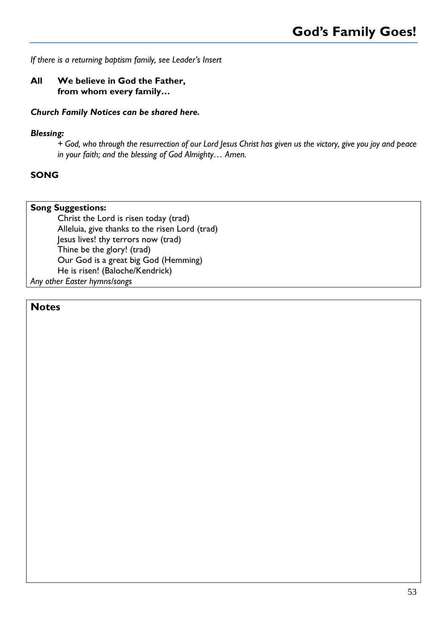*If there is a returning baptism family, see Leader's Insert*

### **All We believe in God the Father, from whom every family…**

### *Church Family Notices can be shared here.*

### *Blessing:*

*+ God, who through the resurrection of our Lord Jesus Christ has given us the victory, give you joy and peace in your faith; and the blessing of God Almighty… Amen.*

### **SONG**

### **Song Suggestions:**

Christ the Lord is risen today (trad) Alleluia, give thanks to the risen Lord (trad) Jesus lives! thy terrors now (trad) Thine be the glory! (trad) Our God is a great big God (Hemming) He is risen! (Baloche/Kendrick) *Any other Easter hymns/songs*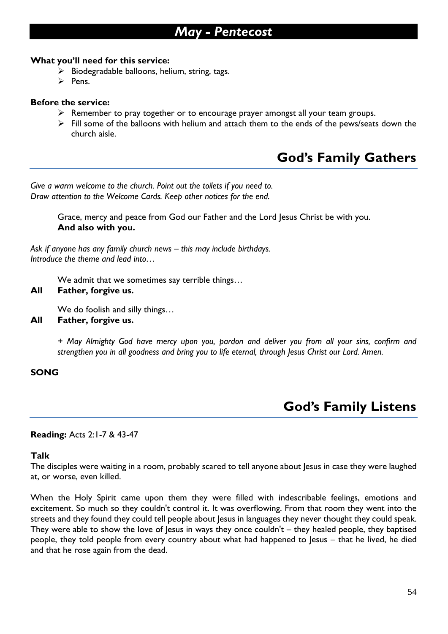### *May - Pentecost*

### **What you'll need for this service:**

- $\triangleright$  Biodegradable balloons, helium, string, tags.
- ➢ Pens.

### **Before the service:**

- ➢ Remember to pray together or to encourage prayer amongst all your team groups.
- $\triangleright$  Fill some of the balloons with helium and attach them to the ends of the pews/seats down the church aisle.

### **God's Family Gathers**

*Give a warm welcome to the church. Point out the toilets if you need to. Draw attention to the Welcome Cards. Keep other notices for the end.*

> Grace, mercy and peace from God our Father and the Lord Jesus Christ be with you. **And also with you.**

*Ask if anyone has any family church news – this may include birthdays. Introduce the theme and lead into…*

We admit that we sometimes say terrible things...

### **All Father, forgive us.**

We do foolish and silly things…

### **All Father, forgive us.**

*+ May Almighty God have mercy upon you, pardon and deliver you from all your sins, confirm and strengthen you in all goodness and bring you to life eternal, through Jesus Christ our Lord. Amen.*

### **SONG**

### **God's Family Listens**

### **Reading:** Acts 2:1-7 & 43-47

### **Talk**

The disciples were waiting in a room, probably scared to tell anyone about Jesus in case they were laughed at, or worse, even killed.

When the Holy Spirit came upon them they were filled with indescribable feelings, emotions and excitement. So much so they couldn't control it. It was overflowing. From that room they went into the streets and they found they could tell people about Jesus in languages they never thought they could speak. They were able to show the love of Jesus in ways they once couldn't – they healed people, they baptised people, they told people from every country about what had happened to Jesus – that he lived, he died and that he rose again from the dead.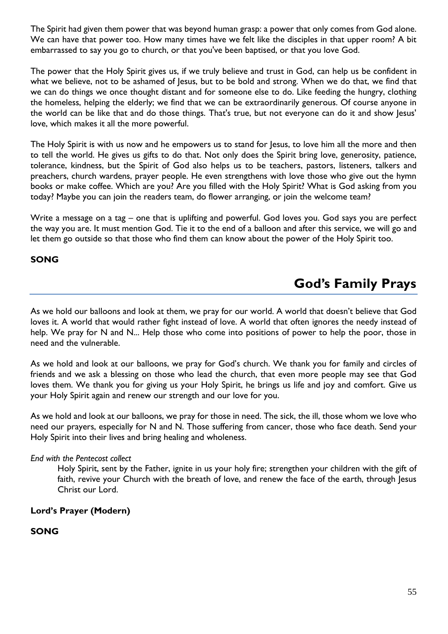The Spirit had given them power that was beyond human grasp: a power that only comes from God alone. We can have that power too. How many times have we felt like the disciples in that upper room? A bit embarrassed to say you go to church, or that you've been baptised, or that you love God.

The power that the Holy Spirit gives us, if we truly believe and trust in God, can help us be confident in what we believe, not to be ashamed of Jesus, but to be bold and strong. When we do that, we find that we can do things we once thought distant and for someone else to do. Like feeding the hungry, clothing the homeless, helping the elderly; we find that we can be extraordinarily generous. Of course anyone in the world can be like that and do those things. That's true, but not everyone can do it and show Jesus' love, which makes it all the more powerful.

The Holy Spirit is with us now and he empowers us to stand for Jesus, to love him all the more and then to tell the world. He gives us gifts to do that. Not only does the Spirit bring love, generosity, patience, tolerance, kindness, but the Spirit of God also helps us to be teachers, pastors, listeners, talkers and preachers, church wardens, prayer people. He even strengthens with love those who give out the hymn books or make coffee. Which are you? Are you filled with the Holy Spirit? What is God asking from you today? Maybe you can join the readers team, do flower arranging, or join the welcome team?

Write a message on a tag – one that is uplifting and powerful. God loves you. God says you are perfect the way you are. It must mention God. Tie it to the end of a balloon and after this service, we will go and let them go outside so that those who find them can know about the power of the Holy Spirit too.

### **SONG**

### **God's Family Prays**

As we hold our balloons and look at them, we pray for our world. A world that doesn't believe that God loves it. A world that would rather fight instead of love. A world that often ignores the needy instead of help. We pray for N and N... Help those who come into positions of power to help the poor, those in need and the vulnerable.

As we hold and look at our balloons, we pray for God's church. We thank you for family and circles of friends and we ask a blessing on those who lead the church, that even more people may see that God loves them. We thank you for giving us your Holy Spirit, he brings us life and joy and comfort. Give us your Holy Spirit again and renew our strength and our love for you.

As we hold and look at our balloons, we pray for those in need. The sick, the ill, those whom we love who need our prayers, especially for N and N. Those suffering from cancer, those who face death. Send your Holy Spirit into their lives and bring healing and wholeness.

### *End with the Pentecost collect*

Holy Spirit, sent by the Father, ignite in us your holy fire; strengthen your children with the gift of faith, revive your Church with the breath of love, and renew the face of the earth, through Jesus Christ our Lord.

### **Lord's Prayer (Modern)**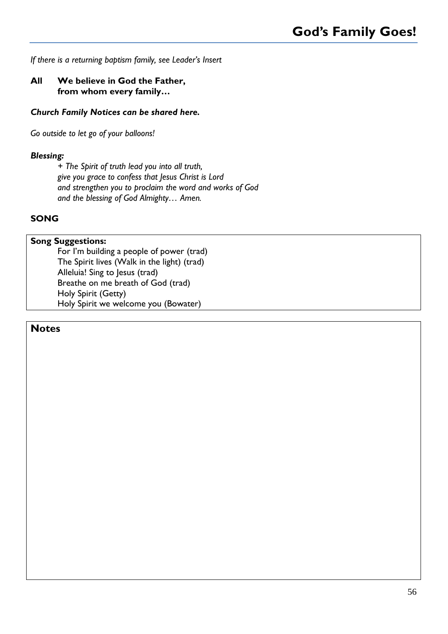*If there is a returning baptism family, see Leader's Insert*

### **All We believe in God the Father, from whom every family…**

### *Church Family Notices can be shared here.*

*Go outside to let go of your balloons!*

### *Blessing:*

*+ The Spirit of truth lead you into all truth, give you grace to confess that Jesus Christ is Lord and strengthen you to proclaim the word and works of God and the blessing of God Almighty… Amen.*

### **SONG**

#### **Song Suggestions:**

For I'm building a people of power (trad) The Spirit lives (Walk in the light) (trad) Alleluia! Sing to Jesus (trad) Breathe on me breath of God (trad) Holy Spirit (Getty) Holy Spirit we welcome you (Bowater)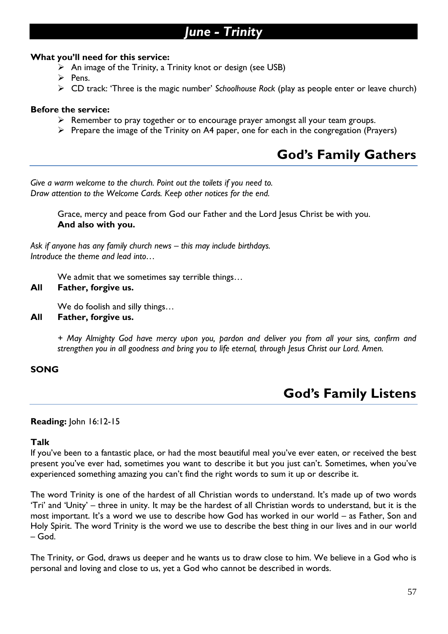### *June - Trinity*

### **What you'll need for this service:**

 $\triangleright$  An image of the Trinity, a Trinity knot or design (see USB)

➢ Pens.

➢ CD track: 'Three is the magic number' *Schoolhouse Rock* (play as people enter or leave church)

### **Before the service:**

- ➢ Remember to pray together or to encourage prayer amongst all your team groups.
- ➢ Prepare the image of the Trinity on A4 paper, one for each in the congregation (Prayers)

### **God's Family Gathers**

*Give a warm welcome to the church. Point out the toilets if you need to. Draw attention to the Welcome Cards. Keep other notices for the end.*

> Grace, mercy and peace from God our Father and the Lord Jesus Christ be with you. **And also with you.**

*Ask if anyone has any family church news – this may include birthdays. Introduce the theme and lead into…*

We admit that we sometimes say terrible things…

### **All Father, forgive us.**

We do foolish and silly things…

**All Father, forgive us.**

*+ May Almighty God have mercy upon you, pardon and deliver you from all your sins, confirm and strengthen you in all goodness and bring you to life eternal, through Jesus Christ our Lord. Amen.*

### **SONG**

### **God's Family Listens**

### **Reading:** John 16:12-15

#### **Talk**

If you've been to a fantastic place, or had the most beautiful meal you've ever eaten, or received the best present you've ever had, sometimes you want to describe it but you just can't. Sometimes, when you've experienced something amazing you can't find the right words to sum it up or describe it.

The word Trinity is one of the hardest of all Christian words to understand. It's made up of two words 'Tri' and 'Unity' – three in unity. It may be the hardest of all Christian words to understand, but it is the most important. It's a word we use to describe how God has worked in our world – as Father, Son and Holy Spirit. The word Trinity is the word we use to describe the best thing in our lives and in our world – God.

The Trinity, or God, draws us deeper and he wants us to draw close to him. We believe in a God who is personal and loving and close to us, yet a God who cannot be described in words.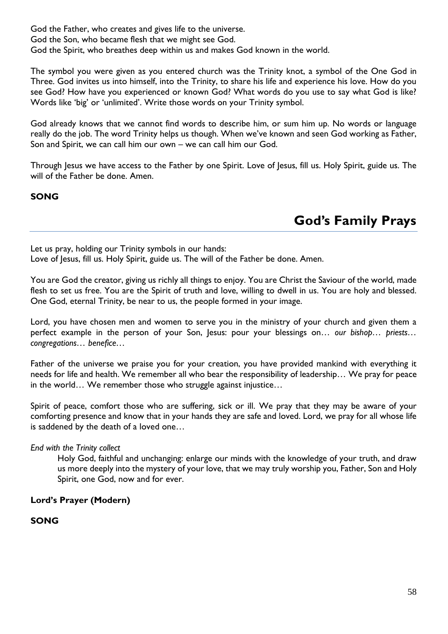God the Father, who creates and gives life to the universe. God the Son, who became flesh that we might see God. God the Spirit, who breathes deep within us and makes God known in the world.

The symbol you were given as you entered church was the Trinity knot, a symbol of the One God in Three. God invites us into himself, into the Trinity, to share his life and experience his love. How do you see God? How have you experienced or known God? What words do you use to say what God is like? Words like 'big' or 'unlimited'. Write those words on your Trinity symbol.

God already knows that we cannot find words to describe him, or sum him up. No words or language really do the job. The word Trinity helps us though. When we've known and seen God working as Father, Son and Spirit, we can call him our own – we can call him our God.

Through Jesus we have access to the Father by one Spirit. Love of Jesus, fill us. Holy Spirit, guide us. The will of the Father be done. Amen.

**SONG**

### **God's Family Prays**

Let us pray, holding our Trinity symbols in our hands:

Love of Jesus, fill us. Holy Spirit, guide us. The will of the Father be done. Amen.

You are God the creator, giving us richly all things to enjoy. You are Christ the Saviour of the world, made flesh to set us free. You are the Spirit of truth and love, willing to dwell in us. You are holy and blessed. One God, eternal Trinity, be near to us, the people formed in your image.

Lord, you have chosen men and women to serve you in the ministry of your church and given them a perfect example in the person of your Son, Jesus: pour your blessings on… *our bishop… priests… congregations… benefice…*

Father of the universe we praise you for your creation, you have provided mankind with everything it needs for life and health. We remember all who bear the responsibility of leadership… We pray for peace in the world… We remember those who struggle against injustice…

Spirit of peace, comfort those who are suffering, sick or ill. We pray that they may be aware of your comforting presence and know that in your hands they are safe and loved. Lord, we pray for all whose life is saddened by the death of a loved one…

### *End with the Trinity collect*

Holy God, faithful and unchanging: enlarge our minds with the knowledge of your truth, and draw us more deeply into the mystery of your love, that we may truly worship you, Father, Son and Holy Spirit, one God, now and for ever.

### **Lord's Prayer (Modern)**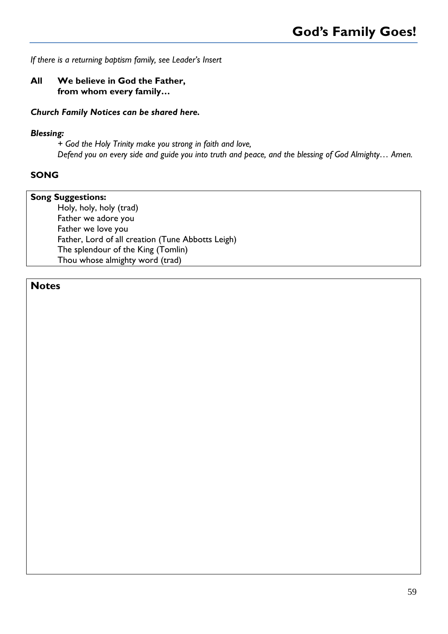*If there is a returning baptism family, see Leader's Insert*

### **All We believe in God the Father, from whom every family…**

### *Church Family Notices can be shared here.*

### *Blessing:*

*+ God the Holy Trinity make you strong in faith and love, Defend you on every side and guide you into truth and peace, and the blessing of God Almighty… Amen.*

### **SONG**

**Song Suggestions:** Holy, holy, holy (trad) Father we adore you Father we love you Father, Lord of all creation (Tune Abbotts Leigh) The splendour of the King (Tomlin) Thou whose almighty word (trad)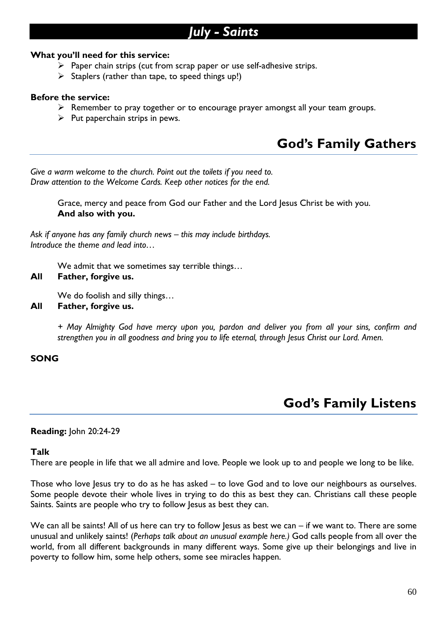### *July - Saints*

### **What you'll need for this service:**

- $\triangleright$  Paper chain strips (cut from scrap paper or use self-adhesive strips.
- $\triangleright$  Staplers (rather than tape, to speed things up!)

### **Before the service:**

- ➢ Remember to pray together or to encourage prayer amongst all your team groups.
- $\triangleright$  Put paperchain strips in pews.

### **God's Family Gathers**

*Give a warm welcome to the church. Point out the toilets if you need to. Draw attention to the Welcome Cards. Keep other notices for the end.*

> Grace, mercy and peace from God our Father and the Lord Jesus Christ be with you. **And also with you.**

Ask if anyone has any family church news – this may include birthdays. *Introduce the theme and lead into…*

We admit that we sometimes say terrible things…

### **All Father, forgive us.**

We do foolish and silly things…

**All Father, forgive us.**

*+ May Almighty God have mercy upon you, pardon and deliver you from all your sins, confirm and strengthen you in all goodness and bring you to life eternal, through Jesus Christ our Lord. Amen.*

### **SONG**

### **God's Family Listens**

### **Reading:** John 20:24-29

### **Talk**

There are people in life that we all admire and love. People we look up to and people we long to be like.

Those who love Jesus try to do as he has asked – to love God and to love our neighbours as ourselves. Some people devote their whole lives in trying to do this as best they can. Christians call these people Saints. Saints are people who try to follow Jesus as best they can.

We can all be saints! All of us here can try to follow Jesus as best we can  $-$  if we want to. There are some unusual and unlikely saints! (*Perhaps talk about an unusual example here.)* God calls people from all over the world, from all different backgrounds in many different ways. Some give up their belongings and live in poverty to follow him, some help others, some see miracles happen.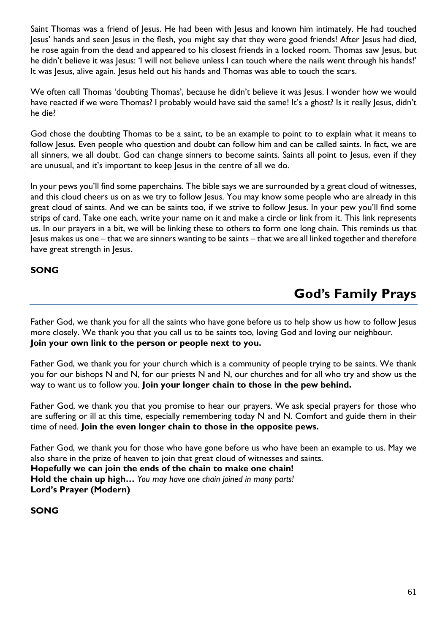Saint Thomas was a friend of Jesus. He had been with Jesus and known him intimately. He had touched Jesus' hands and seen Jesus in the flesh, you might say that they were good friends! After Jesus had died, he rose again from the dead and appeared to his closest friends in a locked room. Thomas saw Jesus, but he didn't believe it was Jesus: 'I will not believe unless I can touch where the nails went through his hands!' It was Jesus, alive again. Jesus held out his hands and Thomas was able to touch the scars.

We often call Thomas 'doubting Thomas', because he didn't believe it was Jesus. I wonder how we would have reacted if we were Thomas? I probably would have said the same! It's a ghost? Is it really Jesus, didn't he die?

God chose the doubting Thomas to be a saint, to be an example to point to to explain what it means to follow Jesus. Even people who question and doubt can follow him and can be called saints. In fact, we are all sinners, we all doubt. God can change sinners to become saints. Saints all point to Jesus, even if they are unusual, and it's important to keep Jesus in the centre of all we do.

In your pews you'll find some paperchains. The bible says we are surrounded by a great cloud of witnesses, and this cloud cheers us on as we try to follow Jesus. You may know some people who are already in this great cloud of saints. And we can be saints too, if we strive to follow Jesus. In your pew you'll find some strips of card. Take one each, write your name on it and make a circle or link from it. This link represents us. In our prayers in a bit, we will be linking these to others to form one long chain. This reminds us that Jesus makes us one – that we are sinners wanting to be saints – that we are all linked together and therefore have great strength in Jesus.

### **SONG**

### **God's Family Prays**

Father God, we thank you for all the saints who have gone before us to help show us how to follow Jesus more closely. We thank you that you call us to be saints too, loving God and loving our neighbour. **Join your own link to the person or people next to you.**

Father God, we thank you for your church which is a community of people trying to be saints. We thank you for our bishops N and N, for our priests N and N, our churches and for all who try and show us the way to want us to follow you. **Join your longer chain to those in the pew behind.**

Father God, we thank you that you promise to hear our prayers. We ask special prayers for those who are suffering or ill at this time, especially remembering today N and N. Comfort and guide them in their time of need. **Join the even longer chain to those in the opposite pews.**

Father God, we thank you for those who have gone before us who have been an example to us. May we also share in the prize of heaven to join that great cloud of witnesses and saints. **Hopefully we can join the ends of the chain to make one chain! Hold the chain up high…** *You may have one chain joined in many parts!* **Lord's Prayer (Modern)**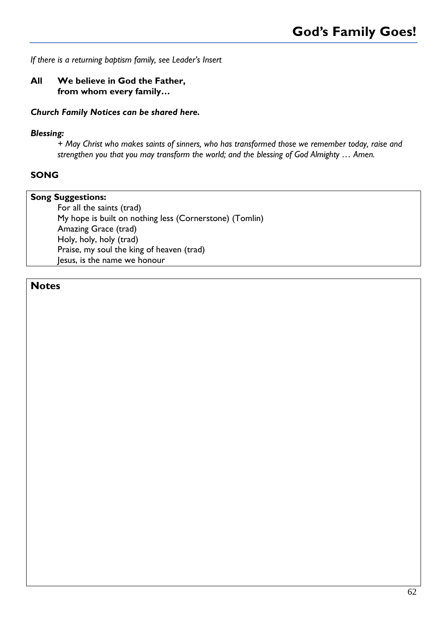*If there is a returning baptism family, see Leader's Insert*

### **All We believe in God the Father, from whom every family…**

### *Church Family Notices can be shared here.*

### *Blessing:*

*+ May Christ who makes saints of sinners, who has transformed those we remember today, raise and strengthen you that you may transform the world; and the blessing of God Almighty … Amen.*

### **SONG**

**Song Suggestions:** For all the saints (trad) My hope is built on nothing less (Cornerstone) (Tomlin) Amazing Grace (trad) Holy, holy, holy (trad) Praise, my soul the king of heaven (trad) Jesus, is the name we honour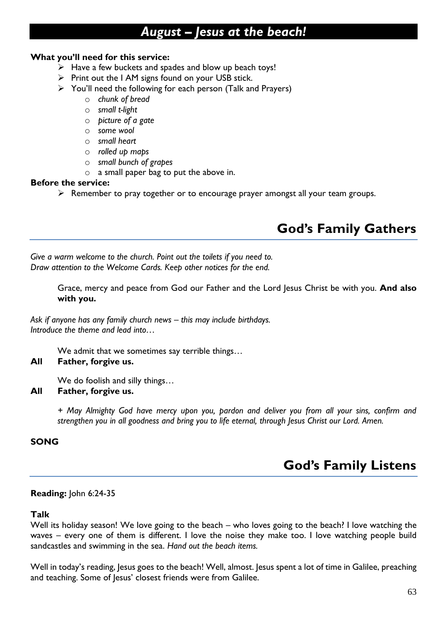### *August – Jesus at the beach!*

### **What you'll need for this service:**

- ➢ Have a few buckets and spades and blow up beach toys!
- ➢ Print out the I AM signs found on your USB stick.
- ➢ You'll need the following for each person (Talk and Prayers)
	- o *chunk of bread*
	- o *small t-light*
	- o *picture of a gate*
	- o *some wool*
	- o *small heart*
	- o *rolled up maps*
	- o *small bunch of grapes*
	- o a small paper bag to put the above in.

### **Before the service:**

➢ Remember to pray together or to encourage prayer amongst all your team groups.

### **God's Family Gathers**

*Give a warm welcome to the church. Point out the toilets if you need to. Draw attention to the Welcome Cards. Keep other notices for the end.*

> Grace, mercy and peace from God our Father and the Lord Jesus Christ be with you. **And also with you.**

*Ask if anyone has any family church news – this may include birthdays. Introduce the theme and lead into…*

We admit that we sometimes say terrible things…

### **All Father, forgive us.**

We do foolish and silly things…

### **All Father, forgive us.**

*+ May Almighty God have mercy upon you, pardon and deliver you from all your sins, confirm and strengthen you in all goodness and bring you to life eternal, through Jesus Christ our Lord. Amen.*

### **SONG**

### **God's Family Listens**

### **Reading:** John 6:24-35

### **Talk**

Well its holiday season! We love going to the beach – who loves going to the beach? I love watching the waves – every one of them is different. I love the noise they make too. I love watching people build sandcastles and swimming in the sea. *Hand out the beach items.*

Well in today's reading, Jesus goes to the beach! Well, almost. Jesus spent a lot of time in Galilee, preaching and teaching. Some of Jesus' closest friends were from Galilee.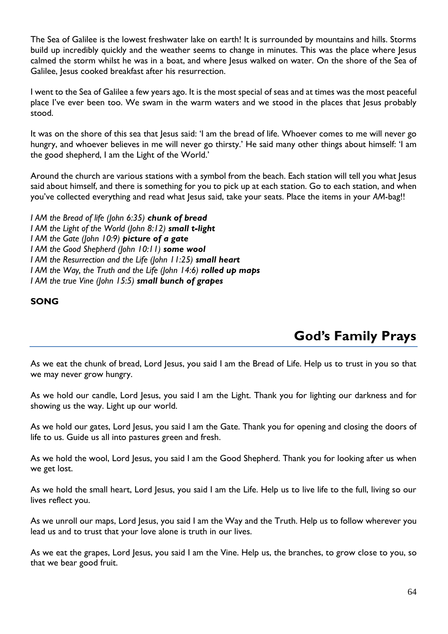The Sea of Galilee is the lowest freshwater lake on earth! It is surrounded by mountains and hills. Storms build up incredibly quickly and the weather seems to change in minutes. This was the place where Jesus calmed the storm whilst he was in a boat, and where Jesus walked on water. On the shore of the Sea of Galilee, Jesus cooked breakfast after his resurrection.

I went to the Sea of Galilee a few years ago. It is the most special of seas and at times was the most peaceful place I've ever been too. We swam in the warm waters and we stood in the places that Jesus probably stood.

It was on the shore of this sea that Jesus said: 'I am the bread of life. Whoever comes to me will never go hungry, and whoever believes in me will never go thirsty.' He said many other things about himself: 'I am the good shepherd, I am the Light of the World.'

Around the church are various stations with a symbol from the beach. Each station will tell you what Jesus said about himself, and there is something for you to pick up at each station. Go to each station, and when you've collected everything and read what Jesus said, take your seats. Place the items in your *AM*-bag!!

*I AM the Bread of life (John 6:35) chunk of bread I AM the Light of the World (John 8:12) small t-light I AM the Gate (John 10:9) picture of a gate I AM the Good Shepherd (John 10:11) some wool I AM the Resurrection and the Life (John 11:25) small heart I AM the Way, the Truth and the Life (John 14:6) rolled up maps I AM the true Vine (John 15:5) small bunch of grapes*

### **SONG**

**God's Family Prays**

As we eat the chunk of bread, Lord Jesus, you said I am the Bread of Life. Help us to trust in you so that we may never grow hungry.

As we hold our candle, Lord Jesus, you said I am the Light. Thank you for lighting our darkness and for showing us the way. Light up our world.

As we hold our gates, Lord Jesus, you said I am the Gate. Thank you for opening and closing the doors of life to us. Guide us all into pastures green and fresh.

As we hold the wool, Lord Jesus, you said I am the Good Shepherd. Thank you for looking after us when we get lost.

As we hold the small heart, Lord Jesus, you said I am the Life. Help us to live life to the full, living so our lives reflect you.

As we unroll our maps, Lord Jesus, you said I am the Way and the Truth. Help us to follow wherever you lead us and to trust that your love alone is truth in our lives.

As we eat the grapes, Lord Jesus, you said I am the Vine. Help us, the branches, to grow close to you, so that we bear good fruit.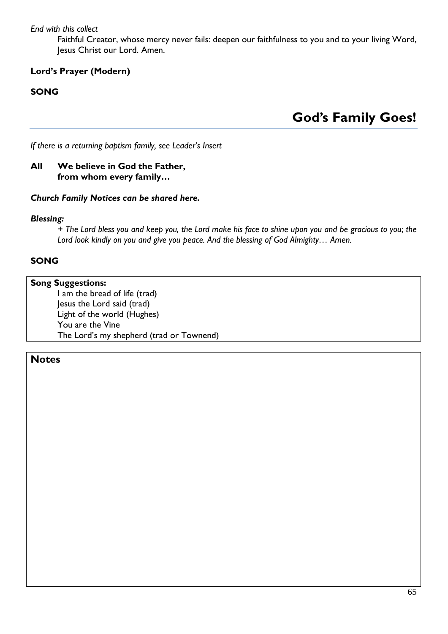*End with this collect*

Faithful Creator, whose mercy never fails: deepen our faithfulness to you and to your living Word, Jesus Christ our Lord. Amen.

### **Lord's Prayer (Modern)**

### **SONG**

**God's Family Goes!**

*If there is a returning baptism family, see Leader's Insert*

### **All We believe in God the Father, from whom every family…**

### *Church Family Notices can be shared here.*

### *Blessing:*

*+ The Lord bless you and keep you, the Lord make his face to shine upon you and be gracious to you; the Lord look kindly on you and give you peace. And the blessing of God Almighty… Amen.*

### **SONG**

### **Song Suggestions:**

I am the bread of life (trad) Jesus the Lord said (trad) Light of the world (Hughes) You are the Vine The Lord's my shepherd (trad or Townend)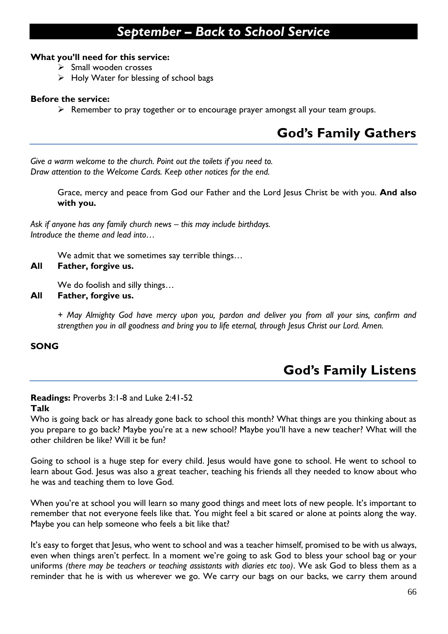### *September – Back to School Service*

### **What you'll need for this service:**

- ➢ Small wooden crosses
- $\triangleright$  Holy Water for blessing of school bags

### **Before the service:**

 $\triangleright$  Remember to pray together or to encourage prayer amongst all your team groups.

### **God's Family Gathers**

*Give a warm welcome to the church. Point out the toilets if you need to. Draw attention to the Welcome Cards. Keep other notices for the end.*

> Grace, mercy and peace from God our Father and the Lord Jesus Christ be with you. **And also with you.**

*Ask if anyone has any family church news – this may include birthdays. Introduce the theme and lead into…*

We admit that we sometimes say terrible things...

### **All Father, forgive us.**

We do foolish and silly things…

### **All Father, forgive us.**

*+ May Almighty God have mercy upon you, pardon and deliver you from all your sins, confirm and strengthen you in all goodness and bring you to life eternal, through Jesus Christ our Lord. Amen.*

### **SONG**

### **God's Family Listens**

### **Readings:** Proverbs 3:1-8 and Luke 2:41-52

### **Talk**

Who is going back or has already gone back to school this month? What things are you thinking about as you prepare to go back? Maybe you're at a new school? Maybe you'll have a new teacher? What will the other children be like? Will it be fun?

Going to school is a huge step for every child. Jesus would have gone to school. He went to school to learn about God. Jesus was also a great teacher, teaching his friends all they needed to know about who he was and teaching them to love God.

When you're at school you will learn so many good things and meet lots of new people. It's important to remember that not everyone feels like that. You might feel a bit scared or alone at points along the way. Maybe you can help someone who feels a bit like that?

It's easy to forget that Jesus, who went to school and was a teacher himself, promised to be with us always, even when things aren't perfect. In a moment we're going to ask God to bless your school bag or your uniforms *(there may be teachers or teaching assistants with diaries etc too)*. We ask God to bless them as a reminder that he is with us wherever we go. We carry our bags on our backs, we carry them around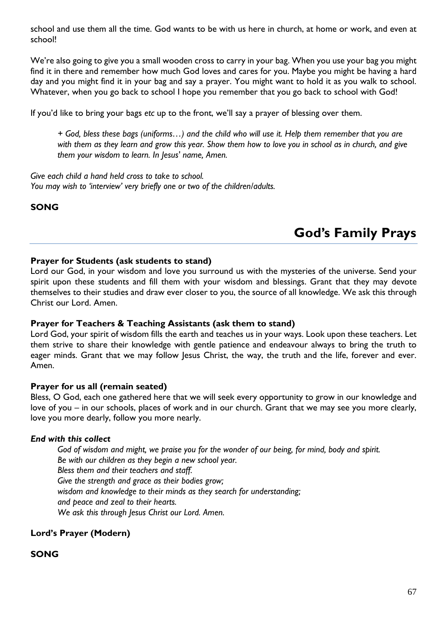school and use them all the time. God wants to be with us here in church, at home or work, and even at school!

We're also going to give you a small wooden cross to carry in your bag. When you use your bag you might find it in there and remember how much God loves and cares for you. Maybe you might be having a hard day and you might find it in your bag and say a prayer. You might want to hold it as you walk to school. Whatever, when you go back to school I hope you remember that you go back to school with God!

If you'd like to bring your bags *etc* up to the front, we'll say a prayer of blessing over them.

*+ God, bless these bags (uniforms…) and the child who will use it. Help them remember that you are with them as they learn and grow this year. Show them how to love you in school as in church, and give them your wisdom to learn. In Jesus' name, Amen.*

*Give each child a hand held cross to take to school. You may wish to 'interview' very briefly one or two of the children/adults.*

### **SONG**

### **God's Family Prays**

### **Prayer for Students (ask students to stand)**

Lord our God, in your wisdom and love you surround us with the mysteries of the universe. Send your spirit upon these students and fill them with your wisdom and blessings. Grant that they may devote themselves to their studies and draw ever closer to you, the source of all knowledge. We ask this through Christ our Lord. Amen.

#### **Prayer for Teachers & Teaching Assistants (ask them to stand)**

Lord God, your spirit of wisdom fills the earth and teaches us in your ways. Look upon these teachers. Let them strive to share their knowledge with gentle patience and endeavour always to bring the truth to eager minds. Grant that we may follow Jesus Christ, the way, the truth and the life, forever and ever. Amen.

#### **Prayer for us all (remain seated)**

Bless, O God, each one gathered here that we will seek every opportunity to grow in our knowledge and love of you – in our schools, places of work and in our church. Grant that we may see you more clearly, love you more dearly, follow you more nearly.

#### *End with this collect*

*God of wisdom and might, we praise you for the wonder of our being, for mind, body and spirit. Be with our children as they begin a new school year. Bless them and their teachers and staff. Give the strength and grace as their bodies grow; wisdom and knowledge to their minds as they search for understanding; and peace and zeal to their hearts. We ask this through Jesus Christ our Lord. Amen.*

**Lord's Prayer (Modern)**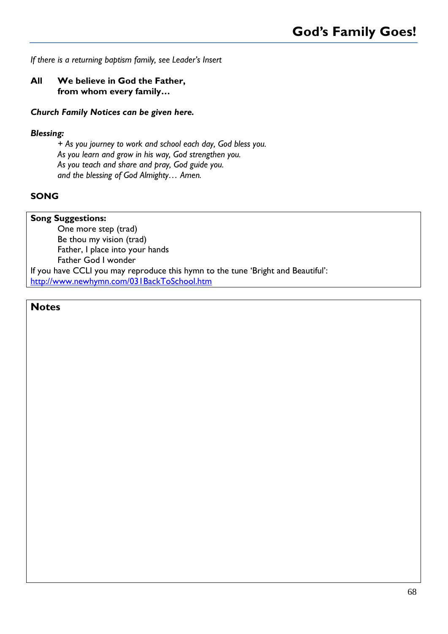*If there is a returning baptism family, see Leader's Insert*

### **All We believe in God the Father, from whom every family…**

### *Church Family Notices can be given here.*

### *Blessing:*

*+ As you journey to work and school each day, God bless you. As you learn and grow in his way, God strengthen you. As you teach and share and pray, God guide you. and the blessing of God Almighty… Amen.*

### **SONG**

### **Song Suggestions:**

One more step (trad) Be thou my vision (trad) Father, I place into your hands Father God I wonder

If you have CCLI you may reproduce this hymn to the tune 'Bright and Beautiful': <http://www.newhymn.com/031BackToSchool.htm>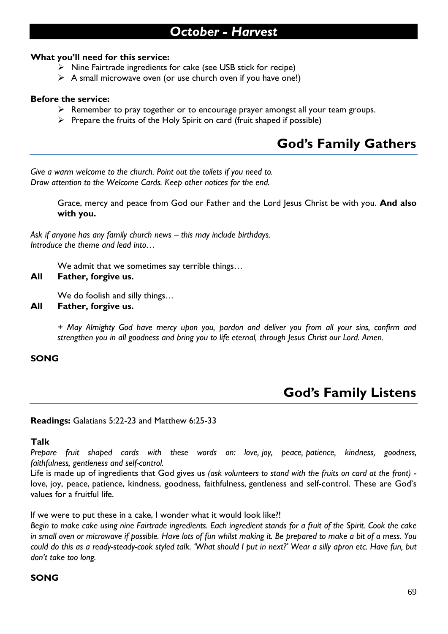### *October - Harvest*

### **What you'll need for this service:**

- ➢ Nine Fairtrade ingredients for cake (see USB stick for recipe)
- $\triangleright$  A small microwave oven (or use church oven if you have one!)

### **Before the service:**

- ➢ Remember to pray together or to encourage prayer amongst all your team groups.
- $\triangleright$  Prepare the fruits of the Holy Spirit on card (fruit shaped if possible)

### **God's Family Gathers**

*Give a warm welcome to the church. Point out the toilets if you need to. Draw attention to the Welcome Cards. Keep other notices for the end.*

> Grace, mercy and peace from God our Father and the Lord Jesus Christ be with you. **And also with you.**

Ask if anyone has any family church news – this may include birthdays. *Introduce the theme and lead into…*

We admit that we sometimes say terrible things…

### **All Father, forgive us.**

We do foolish and silly things…

**All Father, forgive us.**

*+ May Almighty God have mercy upon you, pardon and deliver you from all your sins, confirm and strengthen you in all goodness and bring you to life eternal, through Jesus Christ our Lord. Amen.*

### **SONG**

### **God's Family Listens**

### **Readings:** Galatians 5:22-23 and Matthew 6:25-33

### **Talk**

*Prepare fruit shaped cards with these words on: love, joy, peace, patience, kindness, goodness, faithfulness, gentleness and self-control.*

Life is made up of ingredients that God gives us *(ask volunteers to stand with the fruits on card at the front)* love, joy, peace, patience, kindness, goodness, faithfulness, gentleness and self-control. These are God's values for a fruitful life.

If we were to put these in a cake, I wonder what it would look like?!

*Begin to make cake using nine Fairtrade ingredients. Each ingredient stands for a fruit of the Spirit. Cook the cake in small oven or microwave if possible. Have lots of fun whilst making it. Be prepared to make a bit of a mess. You could do this as a ready-steady-cook styled talk. 'What should I put in next?' Wear a silly apron etc. Have fun, but don't take too long.*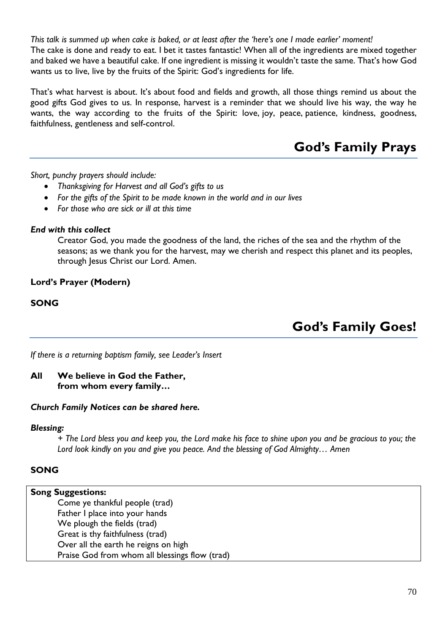*This talk is summed up when cake is baked, or at least after the 'here's one I made earlier' moment!* The cake is done and ready to eat. I bet it tastes fantastic! When all of the ingredients are mixed together and baked we have a beautiful cake. If one ingredient is missing it wouldn't taste the same. That's how God wants us to live, live by the fruits of the Spirit: God's ingredients for life.

That's what harvest is about. It's about food and fields and growth, all those things remind us about the good gifts God gives to us. In response, harvest is a reminder that we should live his way, the way he wants, the way according to the fruits of the Spirit: love, joy, peace, patience, kindness, goodness, faithfulness, gentleness and self-control.

### **God's Family Prays**

*Short, punchy prayers should include:*

- *Thanksgiving for Harvest and all God's gifts to us*
- *For the gifts of the Spirit to be made known in the world and in our lives*
- *For those who are sick or ill at this time*

### *End with this collect*

Creator God, you made the goodness of the land, the riches of the sea and the rhythm of the seasons; as we thank you for the harvest, may we cherish and respect this planet and its peoples, through Jesus Christ our Lord. Amen.

### **Lord's Prayer (Modern)**

### **SONG**

**God's Family Goes!**

*If there is a returning baptism family, see Leader's Insert*

### **All We believe in God the Father, from whom every family…**

### *Church Family Notices can be shared here.*

### *Blessing:*

*+ The Lord bless you and keep you, the Lord make his face to shine upon you and be gracious to you; the Lord look kindly on you and give you peace. And the blessing of God Almighty… Amen*

### **SONG**

### **Song Suggestions:**

Come ye thankful people (trad) Father I place into your hands We plough the fields (trad) Great is thy faithfulness (trad) Over all the earth he reigns on high Praise God from whom all blessings flow (trad)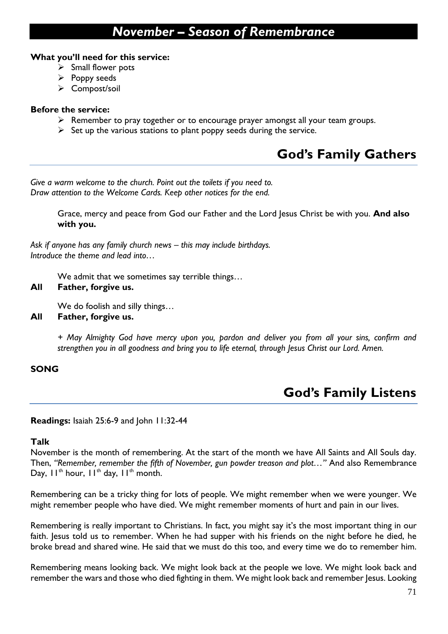### *November – Season of Remembrance*

### **What you'll need for this service:**

- $\triangleright$  Small flower pots
- $\triangleright$  Poppy seeds
- ➢ Compost/soil

### **Before the service:**

- ➢ Remember to pray together or to encourage prayer amongst all your team groups.
- $\triangleright$  Set up the various stations to plant poppy seeds during the service.

### **God's Family Gathers**

*Give a warm welcome to the church. Point out the toilets if you need to. Draw attention to the Welcome Cards. Keep other notices for the end.*

> Grace, mercy and peace from God our Father and the Lord Jesus Christ be with you. **And also with you.**

*Ask if anyone has any family church news – this may include birthdays. Introduce the theme and lead into…*

We admit that we sometimes say terrible things…

### **All Father, forgive us.**

We do foolish and silly things…

**All Father, forgive us.**

*+ May Almighty God have mercy upon you, pardon and deliver you from all your sins, confirm and strengthen you in all goodness and bring you to life eternal, through Jesus Christ our Lord. Amen.*

### **SONG**

### **God's Family Listens**

### **Readings:** Isaiah 25:6-9 and John 11:32-44

### **Talk**

November is the month of remembering. At the start of the month we have All Saints and All Souls day. Then, *"Remember, remember the fifth of November, gun powder treason and plot…"* And also Remembrance Day,  $11^{th}$  hour,  $11^{th}$  day,  $11^{th}$  month.

Remembering can be a tricky thing for lots of people. We might remember when we were younger. We might remember people who have died. We might remember moments of hurt and pain in our lives.

Remembering is really important to Christians. In fact, you might say it's the most important thing in our faith. Jesus told us to remember. When he had supper with his friends on the night before he died, he broke bread and shared wine. He said that we must do this too, and every time we do to remember him.

Remembering means looking back. We might look back at the people we love. We might look back and remember the wars and those who died fighting in them. We might look back and remember Jesus. Looking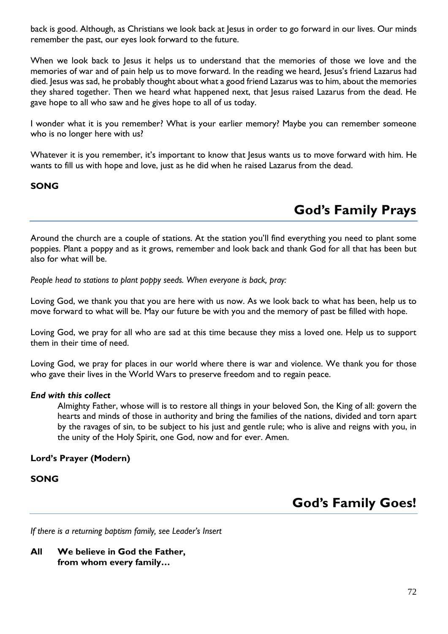back is good. Although, as Christians we look back at Jesus in order to go forward in our lives. Our minds remember the past, our eyes look forward to the future.

When we look back to Jesus it helps us to understand that the memories of those we love and the memories of war and of pain help us to move forward. In the reading we heard, Jesus's friend Lazarus had died. Jesus was sad, he probably thought about what a good friend Lazarus was to him, about the memories they shared together. Then we heard what happened next, that Jesus raised Lazarus from the dead. He gave hope to all who saw and he gives hope to all of us today.

I wonder what it is you remember? What is your earlier memory? Maybe you can remember someone who is no longer here with us?

Whatever it is you remember, it's important to know that Jesus wants us to move forward with him. He wants to fill us with hope and love, just as he did when he raised Lazarus from the dead.

### **SONG**

### **God's Family Prays**

Around the church are a couple of stations. At the station you'll find everything you need to plant some poppies. Plant a poppy and as it grows, remember and look back and thank God for all that has been but also for what will be.

*People head to stations to plant poppy seeds. When everyone is back, pray:*

Loving God, we thank you that you are here with us now. As we look back to what has been, help us to move forward to what will be. May our future be with you and the memory of past be filled with hope.

Loving God, we pray for all who are sad at this time because they miss a loved one. Help us to support them in their time of need.

Loving God, we pray for places in our world where there is war and violence. We thank you for those who gave their lives in the World Wars to preserve freedom and to regain peace.

### *End with this collect*

Almighty Father, whose will is to restore all things in your beloved Son, the King of all: govern the hearts and minds of those in authority and bring the families of the nations, divided and torn apart by the ravages of sin, to be subject to his just and gentle rule; who is alive and reigns with you, in the unity of the Holy Spirit, one God, now and for ever. Amen.

### **Lord's Prayer (Modern)**

### **SONG**

### **God's Family Goes!**

*If there is a returning baptism family, see Leader's Insert*

**All We believe in God the Father, from whom every family…**